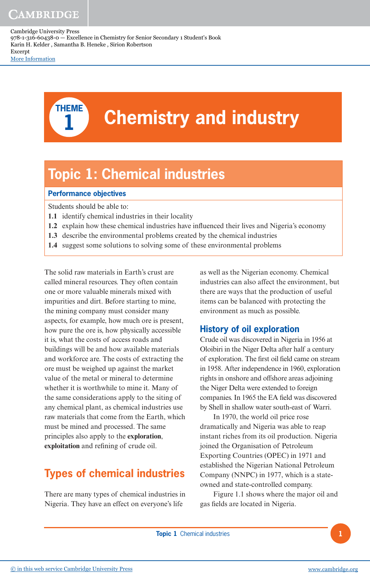

# **THEME Chemistry and industry**

# **Topic 1: Chemical industries**

#### **Performance objectives**

Students should be able to:

- **1.1** identify chemical industries in their locality
- **1.2** explain how these chemical industries have influenced their lives and Nigeria's economy
- **1.3** describe the environmental problems created by the chemical industries
- **1.4** suggest some solutions to solving some of these environmental problems

The solid raw materials in Earth's crust are called mineral resources. They often contain one or more valuable minerals mixed with impurities and dirt. Before starting to mine, the mining company must consider many aspects, for example, how much ore is present, how pure the ore is, how physically accessible it is, what the costs of access roads and buildings will be and how available materials and workforce are. The costs of extracting the ore must be weighed up against the market value of the metal or mineral to determine whether it is worthwhile to mine it. Many of the same considerations apply to the siting of any chemical plant, as chemical industries use raw materials that come from the Earth, which must be mined and processed. The same principles also apply to the **exploration**, **exploitation** and refining of crude oil.

# **Types of chemical industries**

There are many types of chemical industries in Nigeria. They have an effect on everyone's life

as well as the Nigerian economy. Chemical industries can also affect the environment, but there are ways that the production of useful items can be balanced with protecting the environment as much as possible.

# **History of oil exploration**

Crude oil was discovered in Nigeria in 1956 at Oloibiri in the Niger Delta after half a century of exploration. The first oil field came on stream in 1958. After independence in 1960, exploration rights in onshore and offshore areas adjoining the Niger Delta were extended to foreign companies. In 1965 the EA field was discovered by Shell in shallow water south-east of Warri.

In 1970, the world oil price rose dramatically and Nigeria was able to reap instant riches from its oil production. Nigeria joined the Organisation of Petroleum Exporting Countries (OPEC) in 1971 and established the Nigerian National Petroleum Company (NNPC) in 1977, which is a stateowned and state-controlled company.

Figure 1.1 shows where the major oil and gas fields are located in Nigeria.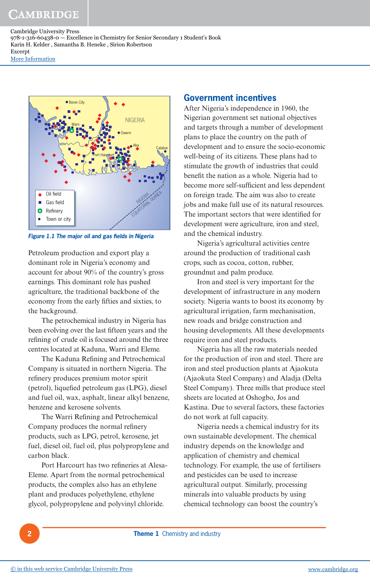

**Figure 1.1 The major oil and gas fields in Nigeria** 

Petroleum production and export play a dominant role in Nigeria's economy and account for about 90% of the country's gross earnings. This dominant role has pushed agriculture, the traditional backbone of the economy from the early fifties and sixties, to the background.

The petrochemical industry in Nigeria has been evolving over the last fifteen years and the refining of crude oil is focused around the three centres located at Kaduna, Warri and Eleme.

The Kaduna Refining and Petrochemical Company is situated in northern Nigeria. The refinery produces premium motor spirit (petrol), liquefied petroleum gas (LPG), diesel and fuel oil, wax, asphalt, linear alkyl benzene, benzene and kerosene solvents.

The Warri Refining and Petrochemical Company produces the normal refinery products, such as LPG, petrol, kerosene, jet fuel, diesel oil, fuel oil, plus polypropylene and carbon black.

Port Harcourt has two refineries at Alesa-Eleme. Apart from the normal petrochemical products, the complex also has an ethylene plant and produces polyethylene, ethylene glycol, polypropylene and polyvinyl chloride.

## **Government incentives**

After Nigeria's independence in 1960, the Nigerian government set national objectives and targets through a number of development plans to place the country on the path of development and to ensure the socio-economic well-being of its citizens. These plans had to stimulate the growth of industries that could benefit the nation as a whole. Nigeria had to become more self-sufficient and less dependent on foreign trade. The aim was also to create jobs and make full use of its natural resources. The important sectors that were identified for development were agriculture, iron and steel, and the chemical industry.

Nigeria's agricultural activities centre around the production of traditional cash crops, such as cocoa, cotton, rubber, groundnut and palm produce.

Iron and steel is very important for the development of infrastructure in any modern society. Nigeria wants to boost its economy by agricultural irrigation, farm mechanisation, new roads and bridge construction and housing developments. All these developments require iron and steel products.

Nigeria has all the raw materials needed for the production of iron and steel. There are iron and steel production plants at Ajaokuta (Ajaokuta Steel Company) and Aladja (Delta Steel Company). Three mills that produce steel sheets are located at Oshogbo, Jos and Kastina. Due to several factors, these factories do not work at full capacity.

Nigeria needs a chemical industry for its own sustainable development. The chemical industry depends on the knowledge and application of chemistry and chemical technology. For example, the use of fertilisers and pesticides can be used to increase agricultural output. Similarly, processing minerals into valuable products by using chemical technology can boost the country's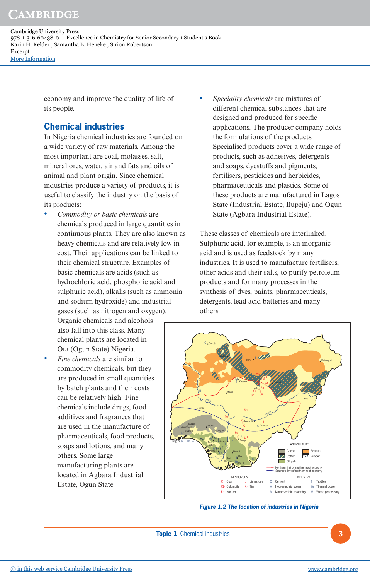Ota (Ogun State) Nigeria.

• *Fine chemicals* are similar to commodity chemicals, but they are produced in small quantities by batch plants and their costs can be relatively high. Fine chemicals include drugs, food additives and fragrances that are used in the manufacture of pharmaceuticals, food products, soaps and lotions, and many others. Some large manufacturing plants are located in Agbara Industrial Estate, Ogun State.

- *Speciality chemicals* are mixtures of different chemical substances that are designed and produced for specific applications. The producer company holds the formulations of the products. Specialised products cover a wide range of products, such as adhesives, detergents and soaps, dyestuffs and pigments,
	- fertilisers, pesticides and herbicides, pharmaceuticals and plastics. Some of these products are manufactured in Lagos State (Industrial Estate, Ilupeju) and Ogun State (Agbara Industrial Estate).

These classes of chemicals are interlinked. Sulphuric acid, for example, is an inorganic acid and is used as feedstock by many industries. It is used to manufacture fertilisers, other acids and their salts, to purify petroleum products and for many processes in the synthesis of dyes, paints, pharmaceuticals, detergents, lead acid batteries and many others.



**Figure 1.2 The location of industries in Nigeria**

Sokoto

C

Cambridge University Press 978-1-316-60438-0 — Excellence in Chemistry for Senior Secondary 1 Student's Book Karin H. Kelder , Samantha B. Heneke , Sirion Robertson Excerpt [More Information](www.cambridge.org/9781316604380)

> economy and improve the quality of life of its people.

# **Chemical industries**

In Nigeria chemical industries are founded on a wide variety of raw materials. Among the most important are coal, molasses, salt, mineral ores, water, air and fats and oils of animal and plant origin. Since chemical industries produce a variety of products, it is useful to classify the industry on the basis of its products:

• *Commodity or basic chemicals* are chemicals produced in large quantities in continuous plants. They are also known as heavy chemicals and are relatively low in cost. Their applications can be linked to their chemical structure. Examples of basic chemicals are acids (such as hydrochloric acid, phosphoric acid and sulphuric acid), alkalis (such as ammonia and sodium hydroxide) and industrial gases (such as nitrogen and oxygen). Organic chemicals and alcohols also fall into this class. Many chemical plants are located in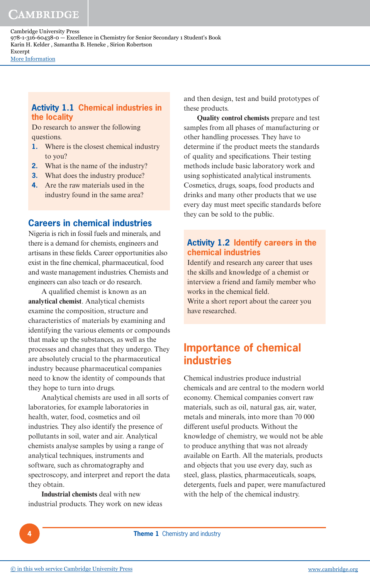## **Activity 1.1 Chemical industries in the locality**

Do research to answer the following questions.

- **1.** Where is the closest chemical industry to you?
- **2.** What is the name of the industry?
- **3.** What does the industry produce?
- **4.** Are the raw materials used in the industry found in the same area?

# **Careers in chemical industries**

Nigeria is rich in fossil fuels and minerals, and there is a demand for chemists, engineers and artisans in these fields. Career opportunities also exist in the fine chemical, pharmaceutical, food and waste management industries. Chemists and engineers can also teach or do research.

A qualified chemist is known as an **analytical chemist**. Analytical chemists examine the composition, structure and characteristics of materials by examining and identifying the various elements or compounds that make up the substances, as well as the processes and changes that they undergo. They are absolutely crucial to the pharmaceutical industry because pharmaceutical companies need to know the identity of compounds that they hope to turn into drugs.

Analytical chemists are used in all sorts of laboratories, for example laboratories in health, water, food, cosmetics and oil industries. They also identify the presence of pollutants in soil, water and air. Analytical chemists analyse samples by using a range of analytical techniques, instruments and software, such as chromatography and spectroscopy, and interpret and report the data they obtain.

**Industrial chemists** deal with new industrial products. They work on new ideas and then design, test and build prototypes of these products.

**Quality control chemists** prepare and test samples from all phases of manufacturing or other handling processes. They have to determine if the product meets the standards of quality and specifications. Their testing methods include basic laboratory work and using sophisticated analytical instruments. Cosmetics, drugs, soaps, food products and drinks and many other products that we use every day must meet specific standards before they can be sold to the public.

# **Activity 1.2 Identify careers in the chemical industries**

Identify and research any career that uses the skills and knowledge of a chemist or interview a friend and family member who works in the chemical field. Write a short report about the career you have researched.

# **Importance of chemical industries**

Chemical industries produce industrial chemicals and are central to the modern world economy. Chemical companies convert raw materials, such as oil, natural gas, air, water, metals and minerals, into more than 70 000 different useful products. Without the knowledge of chemistry, we would not be able to produce anything that was not already available on Earth. All the materials, products and objects that you use every day, such as steel, glass, plastics, pharmaceuticals, soaps, detergents, fuels and paper, were manufactured with the help of the chemical industry.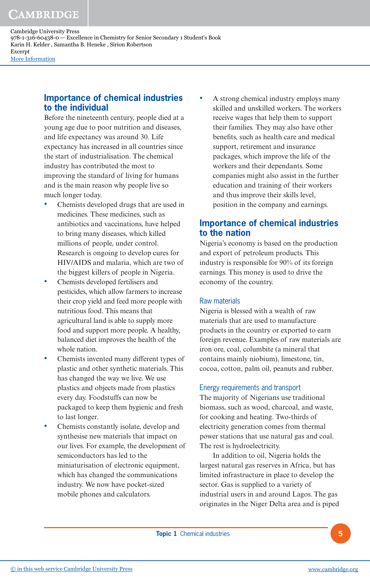## **Importance of chemical industries to the individual**

Before the nineteenth century, people died at a young age due to poor nutrition and diseases, and life expectancy was around 30. Life expectancy has increased in all countries since the start of industrialisation. The chemical industry has contributed the most to improving the standard of living for humans and is the main reason why people live so much longer today.

- Chemists developed drugs that are used in medicines. These medicines, such as antibiotics and vaccinations, have helped to bring many diseases, which killed millions of people, under control. Research is ongoing to develop cures for HIV/AIDS and malaria, which are two of the biggest killers of people in Nigeria.
- Chemists developed fertilisers and pesticides, which allow farmers to increase their crop yield and feed more people with nutritious food. This means that agricultural land is able to supply more food and support more people. A healthy, balanced diet improves the health of the whole nation.
- Chemists invented many different types of plastic and other synthetic materials. This has changed the way we live. We use plastics and objects made from plastics every day. Foodstuffs can now be packaged to keep them hygienic and fresh to last longer.
- Chemists constantly isolate, develop and synthesise new materials that impact on our lives. For example, the development of semiconductors has led to the miniaturisation of electronic equipment, which has changed the communications industry. We now have pocket-sized mobile phones and calculators.

• A strong chemical industry employs many skilled and unskilled workers. The workers receive wages that help them to support their families. They may also have other benefits, such as health care and medical support, retirement and insurance packages, which improve the life of the workers and their dependants. Some companies might also assist in the further education and training of their workers and thus improve their skills level, position in the company and earnings.

# **Importance of chemical industries to the nation**

Nigeria's economy is based on the production and export of petroleum products. This industry is responsible for 90% of its foreign earnings. This money is used to drive the economy of the country.

#### Raw materials

Nigeria is blessed with a wealth of raw materials that are used to manufacture products in the country or exported to earn foreign revenue. Examples of raw materials are iron ore, coal, columbite (a mineral that contains mainly niobium), limestone, tin, cocoa, cotton, palm oil, peanuts and rubber.

#### Energy requirements and transport

The majority of Nigerians use traditional biomass, such as wood, charcoal, and waste, for cooking and heating. Two-thirds of electricity generation comes from thermal power stations that use natural gas and coal. The rest is hydroelectricity.

In addition to oil, Nigeria holds the largest natural gas reserves in Africa, but has limited infrastructure in place to develop the sector. Gas is supplied to a variety of industrial users in and around Lagos. The gas originates in the Niger Delta area and is piped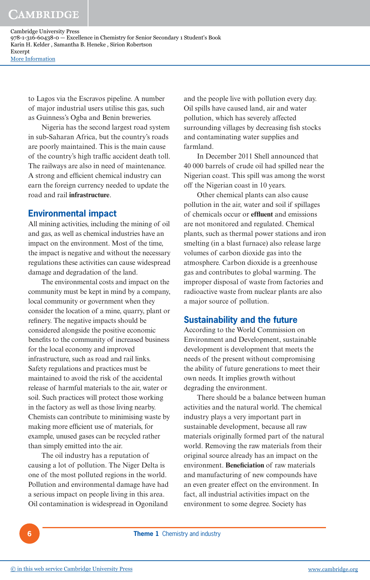to Lagos via the Escravos pipeline. A number of major industrial users utilise this gas, such as Guinness's Ogba and Benin breweries.

Nigeria has the second largest road system in sub-Saharan Africa, but the country's roads are poorly maintained. This is the main cause of the country's high traffic accident death toll. The railways are also in need of maintenance. A strong and efficient chemical industry can earn the foreign currency needed to update the road and rail **infrastructure**.

## **Environmental impact**

All mining activities, including the mining of oil and gas, as well as chemical industries have an impact on the environment. Most of the time, the impact is negative and without the necessary regulations these activities can cause widespread damage and degradation of the land.

The environmental costs and impact on the community must be kept in mind by a company, local community or government when they consider the location of a mine, quarry, plant or refinery. The negative impacts should be considered alongside the positive economic benefits to the community of increased business for the local economy and improved infrastructure, such as road and rail links. Safety regulations and practices must be maintained to avoid the risk of the accidental release of harmful materials to the air, water or soil. Such practices will protect those working in the factory as well as those living nearby. Chemists can contribute to minimising waste by making more efficient use of materials, for example, unused gases can be recycled rather than simply emitted into the air.

The oil industry has a reputation of causing a lot of pollution. The Niger Delta is one of the most polluted regions in the world. Pollution and environmental damage have had a serious impact on people living in this area. Oil contamination is widespread in Ogoniland

and the people live with pollution every day. Oil spills have caused land, air and water pollution, which has severely affected surrounding villages by decreasing fish stocks and contaminating water supplies and farmland.

In December 2011 Shell announced that 40 000 barrels of crude oil had spilled near the Nigerian coast. This spill was among the worst off the Nigerian coast in 10 years.

Other chemical plants can also cause pollution in the air, water and soil if spillages of chemicals occur or **effluent** and emissions are not monitored and regulated. Chemical plants, such as thermal power stations and iron smelting (in a blast furnace) also release large volumes of carbon dioxide gas into the atmosphere. Carbon dioxide is a greenhouse gas and contributes to global warming. The improper disposal of waste from factories and radioactive waste from nuclear plants are also a major source of pollution.

## **Sustainability and the future**

According to the World Commission on Environment and Development, sustainable development is development that meets the needs of the present without compromising the ability of future generations to meet their own needs. It implies growth without degrading the environment.

There should be a balance between human activities and the natural world. The chemical industry plays a very important part in sustainable development, because all raw materials originally formed part of the natural world. Removing the raw materials from their original source already has an impact on the environment. **Beneficiation** of raw materials and manufacturing of new compounds have an even greater effect on the environment. In fact, all industrial activities impact on the environment to some degree. Society has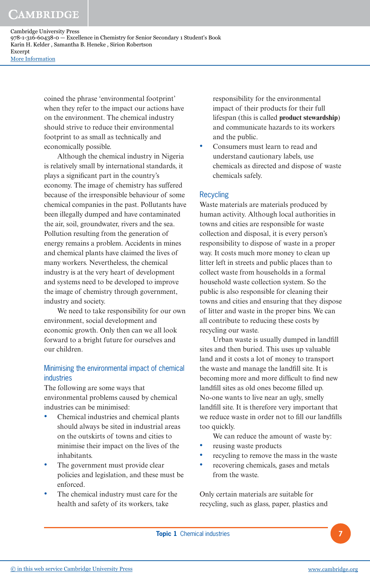> coined the phrase 'environmental footprint' when they refer to the impact our actions have on the environment. The chemical industry should strive to reduce their environmental footprint to as small as technically and economically possible.

> Although the chemical industry in Nigeria is relatively small by international standards, it plays a significant part in the country's economy. The image of chemistry has suffered because of the irresponsible behaviour of some chemical companies in the past. Pollutants have been illegally dumped and have contaminated the air, soil, groundwater, rivers and the sea. Pollution resulting from the generation of energy remains a problem. Accidents in mines and chemical plants have claimed the lives of many workers. Nevertheless, the chemical industry is at the very heart of development and systems need to be developed to improve the image of chemistry through government, industry and society.

> We need to take responsibility for our own environment, social development and economic growth. Only then can we all look forward to a bright future for ourselves and our children.

# Minimising the environmental impact of chemical industries

The following are some ways that environmental problems caused by chemical industries can be minimised:

- Chemical industries and chemical plants should always be sited in industrial areas on the outskirts of towns and cities to minimise their impact on the lives of the inhabitants.
- The government must provide clear policies and legislation, and these must be enforced.
- The chemical industry must care for the health and safety of its workers, take

responsibility for the environmental impact of their products for their full lifespan (this is called **product stewardship**) and communicate hazards to its workers and the public.

• Consumers must learn to read and understand cautionary labels, use chemicals as directed and dispose of waste chemicals safely.

#### Recycling

Waste materials are materials produced by human activity. Although local authorities in towns and cities are responsible for waste collection and disposal, it is every person's responsibility to dispose of waste in a proper way. It costs much more money to clean up litter left in streets and public places than to collect waste from households in a formal household waste collection system. So the public is also responsible for cleaning their towns and cities and ensuring that they dispose of litter and waste in the proper bins. We can all contribute to reducing these costs by recycling our waste.

Urban waste is usually dumped in landfill sites and then buried. This uses up valuable land and it costs a lot of money to transport the waste and manage the landfill site. It is becoming more and more difficult to find new landfill sites as old ones become filled up. No-one wants to live near an ugly, smelly landfill site. It is therefore very important that we reduce waste in order not to fill our landfills too quickly.

We can reduce the amount of waste by:

- reusing waste products
- recycling to remove the mass in the waste
- recovering chemicals, gases and metals from the waste.

Only certain materials are suitable for recycling, such as glass, paper, plastics and

**Topic 1** Chemical industries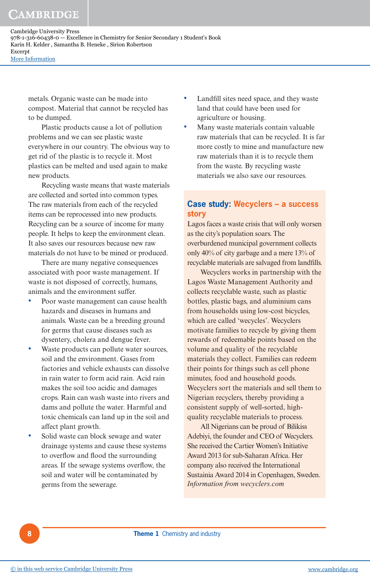# CAMBRIDGE

Cambridge University Press 978-1-316-60438-0 — Excellence in Chemistry for Senior Secondary 1 Student's Book Karin H. Kelder , Samantha B. Heneke , Sirion Robertson Excerpt [More Information](www.cambridge.org/9781316604380)

metals. Organic waste can be made into compost. Material that cannot be recycled has to be dumped.

Plastic products cause a lot of pollution problems and we can see plastic waste everywhere in our country. The obvious way to get rid of the plastic is to recycle it. Most plastics can be melted and used again to make new products.

Recycling waste means that waste materials are collected and sorted into common types. The raw materials from each of the recycled items can be reprocessed into new products. Recycling can be a source of income for many people. It helps to keep the environment clean. It also saves our resources because new raw materials do not have to be mined or produced.

There are many negative consequences associated with poor waste management. If waste is not disposed of correctly, humans, animals and the environment suffer.

- Poor waste management can cause health hazards and diseases in humans and animals. Waste can be a breeding ground for germs that cause diseases such as dysentery, cholera and dengue fever.
- Waste products can pollute water sources, soil and the environment. Gases from factories and vehicle exhausts can dissolve in rain water to form acid rain. Acid rain makes the soil too acidic and damages crops. Rain can wash waste into rivers and dams and pollute the water. Harmful and toxic chemicals can land up in the soil and affect plant growth.
- Solid waste can block sewage and water drainage systems and cause these systems to overflow and flood the surrounding areas. If the sewage systems overflow, the soil and water will be contaminated by germs from the sewerage.
- Landfill sites need space, and they waste land that could have been used for agriculture or housing.
- Many waste materials contain valuable raw materials that can be recycled. It is far more costly to mine and manufacture new raw materials than it is to recycle them from the waste. By recycling waste materials we also save our resources.

#### **Case study: Wecyclers – a success story**

Lagos faces a waste crisis that will only worsen as the city's population soars. The overburdened municipal government collects only 40% of city garbage and a mere 13% of recyclable materials are salvaged from landfills.

Wecyclers works in partnership with the Lagos Waste Management Authority and collects recyclable waste, such as plastic bottles, plastic bags, and aluminium cans from households using low-cost bicycles, which are called 'wecycles'. Wecyclers motivate families to recycle by giving them rewards of redeemable points based on the volume and quality of the recyclable materials they collect. Families can redeem their points for things such as cell phone minutes, food and household goods. Wecyclers sort the materials and sell them to Nigerian recyclers, thereby providing a consistent supply of well-sorted, highquality recyclable materials to process.

All Nigerians can be proud of Bilikiss Adebiyi, the founder and CEO of Wecyclers. She received the Cartier Women's Initiative Award 2013 for sub-Saharan Africa. Her company also received the International Sustainia Award 2014 in Copenhagen, Sweden. *Information from wecyclers.com*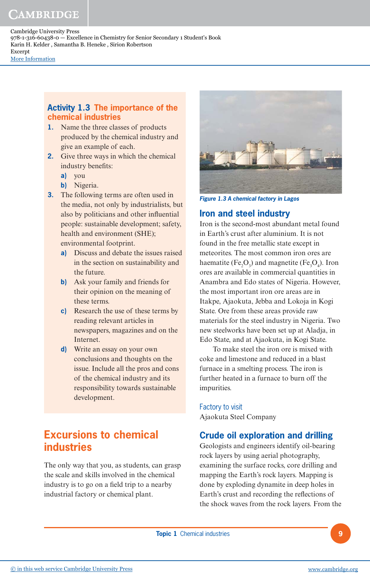# CAMBRIDGE

Cambridge University Press 978-1-316-60438-0 — Excellence in Chemistry for Senior Secondary 1 Student's Book Karin H. Kelder , Samantha B. Heneke , Sirion Robertson Excerpt [More Information](www.cambridge.org/9781316604380)

#### **Activity 1.3 The importance of the chemical industries**

- **1.** Name the three classes of products produced by the chemical industry and give an example of each.
- **2.** Give three ways in which the chemical industry benefits:
	- **a)** you
	- **b)** Nigeria.
- **3.** The following terms are often used in the media, not only by industrialists, but also by politicians and other influential people: sustainable development; safety, health and environment (SHE); environmental footprint.
	- **a)** Discuss and debate the issues raised in the section on sustainability and the future.
	- **b)** Ask your family and friends for their opinion on the meaning of these terms.
	- **c)** Research the use of these terms by reading relevant articles in newspapers, magazines and on the Internet.
	- **d)** Write an essay on your own conclusions and thoughts on the issue. Include all the pros and cons of the chemical industry and its responsibility towards sustainable development.

# **Excursions to chemical industries**

The only way that you, as students, can grasp the scale and skills involved in the chemical industry is to go on a field trip to a nearby industrial factory or chemical plant.



**Figure 1.3 A chemical factory in Lagos**

# **Iron and steel industry**

Iron is the second-most abundant metal found in Earth's crust after aluminium. It is not found in the free metallic state except in meteorites. The most common iron ores are haematite (Fe<sub>2</sub>O<sub>3</sub>) and magnetite (Fe<sub>3</sub>O<sub>4</sub>). Iron ores are available in commercial quantities in Anambra and Edo states of Nigeria. However, the most important iron ore areas are in Itakpe, Ajaokuta, Jebba and Lokoja in Kogi State. Ore from these areas provide raw materials for the steel industry in Nigeria. Two new steelworks have been set up at Aladja, in Edo State, and at Ajaokuta, in Kogi State.

To make steel the iron ore is mixed with coke and limestone and reduced in a blast furnace in a smelting process. The iron is further heated in a furnace to burn off the impurities.

Factory to visit Ajaokuta Steel Company

# **Crude oil exploration and drilling**

Geologists and engineers identify oil-bearing rock layers by using aerial photography, examining the surface rocks, core drilling and mapping the Earth's rock layers. Mapping is done by exploding dynamite in deep holes in Earth's crust and recording the reflections of the shock waves from the rock layers. From the